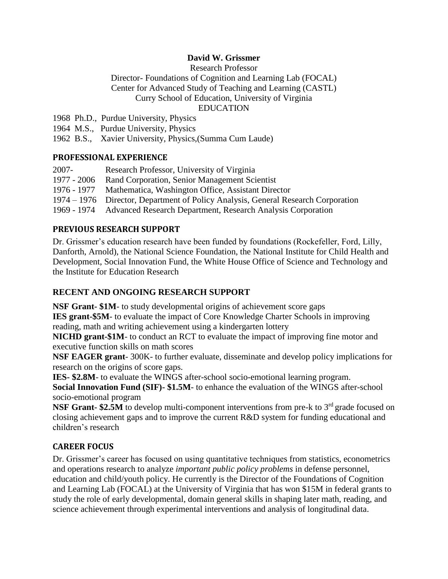## **David W. Grissmer**

Research Professor

Director- Foundations of Cognition and Learning Lab (FOCAL) Center for Advanced Study of Teaching and Learning (CASTL) Curry School of Education, University of Virginia

### EDUCATION

1968 Ph.D., Purdue University, Physics

1964 M.S., Purdue University, Physics

1962 B.S., Xavier University, Physics,(Summa Cum Laude)

## **PROFESSIONAL EXPERIENCE**

| 2007-       | Research Professor, University of Virginia                                        |
|-------------|-----------------------------------------------------------------------------------|
| 1977 - 2006 | Rand Corporation, Senior Management Scientist                                     |
|             | 1976 - 1977 Mathematica, Washington Office, Assistant Director                    |
|             | 1974 – 1976 Director, Department of Policy Analysis, General Research Corporation |
|             | 1969 - 1974 Advanced Research Department, Research Analysis Corporation           |
|             |                                                                                   |

# **PREVIOUS RESEARCH SUPPORT**

Dr. Grissmer's education research have been funded by foundations (Rockefeller, Ford, Lilly, Danforth, Arnold), the National Science Foundation, the National Institute for Child Health and Development, Social Innovation Fund, the White House Office of Science and Technology and the Institute for Education Research

# **RECENT AND ONGOING RESEARCH SUPPORT**

**NSF Grant- \$1M**- to study developmental origins of achievement score gaps **IES grant-\$5M**- to evaluate the impact of Core Knowledge Charter Schools in improving reading, math and writing achievement using a kindergarten lottery

**NICHD grant-\$1M**- to conduct an RCT to evaluate the impact of improving fine motor and executive function skills on math scores

**NSF EAGER grant**- 300K- to further evaluate, disseminate and develop policy implications for research on the origins of score gaps.

**IES- \$2.8M**- to evaluate the WINGS after-school socio-emotional learning program.

**Social Innovation Fund (SIF)- \$1.5M**- to enhance the evaluation of the WINGS after-school socio-emotional program

**NSF Grant-** \$2.5M to develop multi-component interventions from pre-k to 3<sup>rd</sup> grade focused on closing achievement gaps and to improve the current R&D system for funding educational and children's research

# **CAREER FOCUS**

Dr. Grissmer's career has focused on using quantitative techniques from statistics, econometrics and operations research to analyze *important public policy problems* in defense personnel, education and child/youth policy. He currently is the Director of the Foundations of Cognition and Learning Lab (FOCAL) at the University of Virginia that has won \$15M in federal grants to study the role of early developmental, domain general skills in shaping later math, reading, and science achievement through experimental interventions and analysis of longitudinal data.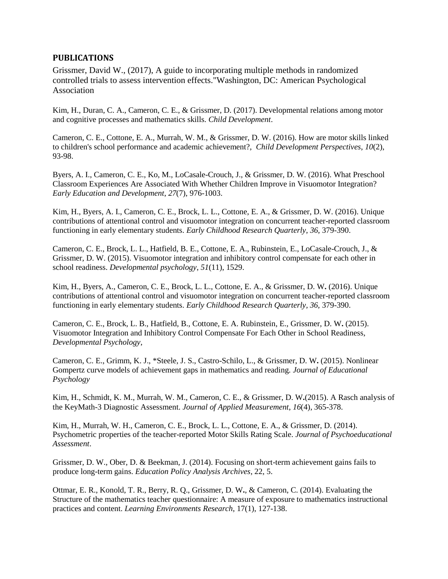#### **PUBLICATIONS**

Grissmer, David W., (2017), A guide to incorporating multiple methods in randomized controlled trials to assess intervention effects."Washington, DC: American Psychological Association

Kim, H., Duran, C. A., Cameron, C. E., & Grissmer, D. (2017). Developmental relations among motor and cognitive processes and mathematics skills. *Child Development*.

Cameron, C. E., Cottone, E. A., Murrah, W. M., & Grissmer, D. W. (2016). How are motor skills linked to children's school performance and academic achievement?, *Child Development Perspectives*, *10*(2), 93-98.

Byers, A. I., Cameron, C. E., Ko, M., LoCasale-Crouch, J., & Grissmer, D. W. (2016). What Preschool Classroom Experiences Are Associated With Whether Children Improve in Visuomotor Integration? *Early Education and Development*, *27*(7), 976-1003.

Kim, H., Byers, A. I., Cameron, C. E., Brock, L. L., Cottone, E. A., & Grissmer, D. W. (2016). Unique contributions of attentional control and visuomotor integration on concurrent teacher-reported classroom functioning in early elementary students. *Early Childhood Research Quarterly*, *36*, 379-390.

Cameron, C. E., Brock, L. L., Hatfield, B. E., Cottone, E. A., Rubinstein, E., LoCasale-Crouch, J., & Grissmer, D. W. (2015). Visuomotor integration and inhibitory control compensate for each other in school readiness. *Developmental psychology*, *51*(11), 1529.

Kim, H., Byers, A., Cameron, C. E., Brock, L. L., Cottone, E. A., & Grissmer, D. W**.** (2016). Unique contributions of attentional control and visuomotor integration on concurrent teacher-reported classroom functioning in early elementary students. *Early Childhood Research Quarterly, 36,* 379-390.

Cameron, C. E., Brock, L. B., Hatfield, B., Cottone, E. A. Rubinstein, E., Grissmer, D. W**.** (2015). Visuomotor Integration and Inhibitory Control Compensate For Each Other in School Readiness, *Developmental Psychology*,

Cameron, C. E., Grimm, K. J., \*Steele, J. S., Castro-Schilo, L., & Grissmer, D. W**.** (2015). Nonlinear Gompertz curve models of achievement gaps in mathematics and reading. *Journal of Educational Psychology*

Kim, H., Schmidt, K. M., Murrah, W. M., Cameron, C. E., & Grissmer, D. W**.**(2015). A Rasch analysis of the KeyMath-3 Diagnostic Assessment. *Journal of Applied Measurement*, *16*(4), 365-378.

Kim, H., Murrah, W. H., Cameron, C. E., Brock, L. L., Cottone, E. A., & Grissmer, D. (2014). Psychometric properties of the teacher-reported Motor Skills Rating Scale. *Journal of Psychoeducational Assessment*.

Grissmer, D. W., Ober, D. & Beekman, J. (2014). Focusing on short-term achievement gains fails to produce long-term gains. *Education Policy Analysis Archives*, 22, 5.

Ottmar, E. R., Konold, T. R., Berry, R. Q., Grissmer, D. W**.**, & Cameron, C. (2014). Evaluating the Structure of the mathematics teacher questionnaire: A measure of exposure to mathematics instructional practices and content. *Learning Environments Research*, 17(1), 127-138.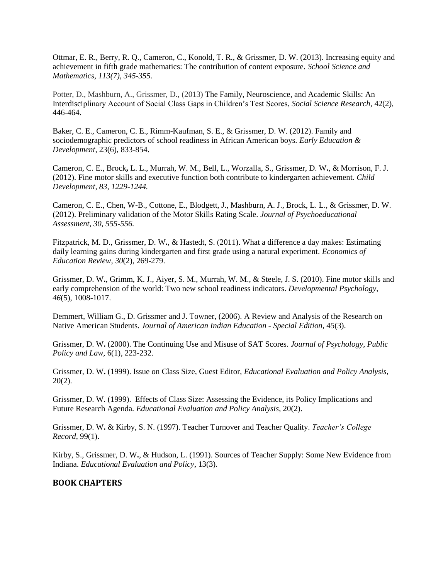Ottmar, E. R., Berry, R. Q., Cameron, C., Konold, T. R., & Grissmer, D. W. (2013). Increasing equity and achievement in fifth grade mathematics: The contribution of content exposure. *School Science and Mathematics, 113(7), 345-355.*

Potter, D., Mashburn, A., Grissmer, D., (2013) The Family, Neuroscience, and Academic Skills: An Interdisciplinary Account of Social Class Gaps in Children's Test Scores, *Social Science Research,* 42(2), 446-464.

Baker, C. E., Cameron, C. E., Rimm-Kaufman, S. E., & Grissmer, D. W. (2012). Family and sociodemographic predictors of school readiness in African American boys*. Early Education & Development,* 23(6), 833-854.

Cameron, C. E., Brock**,** L. L., Murrah, W. M., Bell, L., Worzalla, S., Grissmer, D. W**.**, & Morrison, F. J. (2012). Fine motor skills and executive function both contribute to kindergarten achievement. *Child Development, 83, 1229-1244.*

Cameron, C. E., Chen, W-B., Cottone, E., Blodgett, J., Mashburn, A. J., Brock, L. L., & Grissmer, D. W. (2012). Preliminary validation of the Motor Skills Rating Scale. *Journal of Psychoeducational Assessment, 30, 555-556.*

Fitzpatrick, M. D., Grissmer, D. W**.**, & Hastedt, S. (2011). What a difference a day makes: Estimating daily learning gains during kindergarten and first grade using a natural experiment. *Economics of Education Review, 30*(2), 269-279.

Grissmer, D. W**.**, Grimm, K. J., Aiyer, S. M., Murrah, W. M., & Steele, J. S. (2010). Fine motor skills and early comprehension of the world: Two new school readiness indicators. *Developmental Psychology, 46*(5), 1008-1017.

Demmert, William G., D. Grissmer and J. Towner*,* (2006). A Review and Analysis of the Research on Native American Students. *Journal of American Indian Education - Special Edition*, 45(3).

Grissmer, D. W**.** (2000). The Continuing Use and Misuse of SAT Scores*. Journal of Psychology, Public Policy and Law*, 6(1), 223-232.

Grissmer, D. W**.** (1999). Issue on Class Size, Guest Editor, *Educational Evaluation and Policy Analysis*, 20(2).

Grissmer, D. W. (1999). Effects of Class Size: Assessing the Evidence, its Policy Implications and Future Research Agenda*. Educational Evaluation and Policy Analysis*, 20(2).

Grissmer, D. W**.** & Kirby, S. N. (1997). Teacher Turnover and Teacher Quality. *Teacher's College Record*, 99(1).

Kirby, S., Grissmer, D. W**.**, & Hudson, L. (1991). Sources of Teacher Supply: Some New Evidence from Indiana. *Educational Evaluation and Policy*, 13(3).

#### **BOOK CHAPTERS**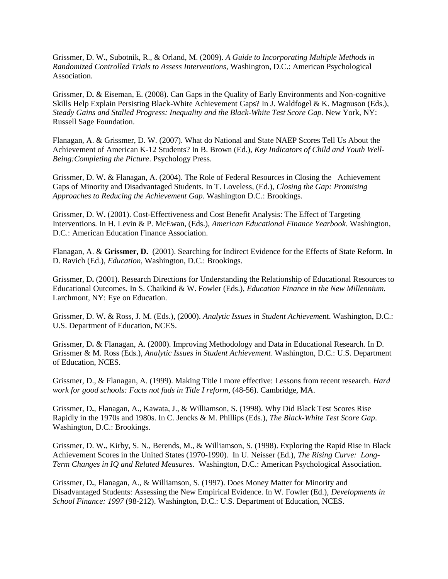Grissmer, D. W**.**, Subotnik, R., & Orland, M. (2009). *A Guide to Incorporating Multiple Methods in Randomized Controlled Trials to Assess Interventions,* Washington, D.C.: American Psychological Association.

Grissmer, D**.** & Eiseman, E. (2008). Can Gaps in the Quality of Early Environments and Non-cognitive Skills Help Explain Persisting Black-White Achievement Gaps? In J. Waldfogel & K. Magnuson (Eds.), *Steady Gains and Stalled Progress: Inequality and the Black-White Test Score Gap.* New York, NY: Russell Sage Foundation.

Flanagan, A. & Grissmer, D. W. (2007). What do National and State NAEP Scores Tell Us About the Achievement of American K-12 Students? In B. Brown (Ed.), *Key Indicators of Child and Youth Well-Being:Completing the Picture*. Psychology Press.

Grissmer, D. W**.** & Flanagan, A. (2004). The Role of Federal Resources in Closing the Achievement Gaps of Minority and Disadvantaged Students. In T. Loveless, (Ed.), *Closing the Gap: Promising Approaches to Reducing the Achievement Gap.* Washington D.C.: Brookings.

Grissmer, D. W**.** (2001). Cost-Effectiveness and Cost Benefit Analysis: The Effect of Targeting Interventions*.* In H. Levin & P. McEwan, (Eds.), *American Educational Finance Yearbook*. Washington, D.C.: American Education Finance Association.

Flanagan, A. & **Grissmer, D.** (2001). Searching for Indirect Evidence for the Effects of State Reform*.* In D. Ravich (Ed.), *Education*, Washington, D.C.: Brookings.

Grissmer, D**.** (2001). Research Directions for Understanding the Relationship of Educational Resources to Educational Outcomes. In S. Chaikind & W. Fowler (Eds.), *Education Finance in the New Millennium.* Larchmont, NY: Eye on Education.

Grissmer, D. W**.** & Ross, J. M. (Eds.), (2000). *Analytic Issues in Student Achieveme*nt. Washington, D.C.: U.S. Department of Education, NCES.

Grissmer, D**.** & Flanagan, A. (2000)*.* Improving Methodology and Data in Educational Research. In D. Grissmer & M. Ross (Eds.), *Analytic Issues in Student Achievement*. Washington, D.C.: U.S. Department of Education, NCES.

Grissmer, D., & Flanagan, A. (1999). Making Title I more effective: Lessons from recent research. *Hard work for good schools: Facts not fads in Title I reform*, (48-56). Cambridge, MA.

Grissmer, D**.**, Flanagan, A., Kawata, J., & Williamson, S. (1998). Why Did Black Test Scores Rise Rapidly in the 1970s and 1980s. In C. Jencks & M. Phillips (Eds.), *The Black-White Test Score Gap*. Washington, D.C.: Brookings.

Grissmer, D. W**.**, Kirby, S. N., Berends, M., & Williamson, S. (1998). Exploring the Rapid Rise in Black Achievement Scores in the United States (1970-1990)*.* In U. Neisser (Ed.), *The Rising Curve: Long-Term Changes in IQ and Related Measures*. Washington, D.C.: American Psychological Association.

Grissmer, D**.**, Flanagan, A., & Williamson, S. (1997). Does Money Matter for Minority and Disadvantaged Students: Assessing the New Empirical Evidence. In W. Fowler (Ed.), *Developments in School Finance: 1997* (98-212). Washington, D.C.: U.S. Department of Education, NCES.